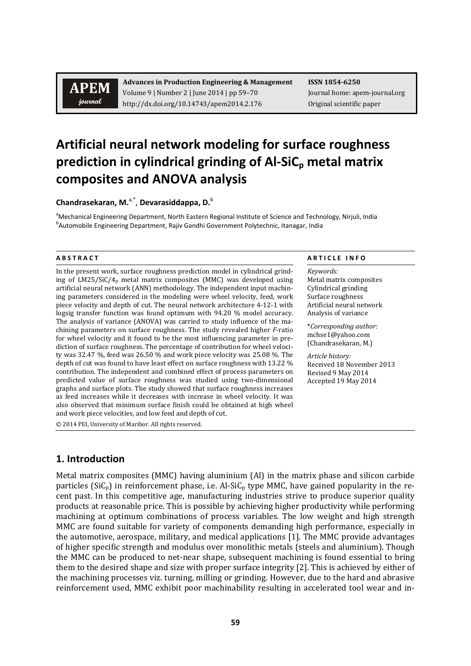journal

 **Advances in Production Engineering & Management ISSN 1854‐6250** Volume 9 | Number 2 | June 2014 | pp 59–70 Journal home: apem-journal.org http://dx.doi.org/10.14743/apem2014.2.176 Original scientific paper

# **Artificial neural network modeling for surface roughness prediction in cylindrical grinding of Al‐SiCp metal matrix composites and ANOVA analysis**

**Chandrasekaran, M.**a,\*, **Devarasiddappa, D.**<sup>b</sup>

<sup>a</sup>Mechanical Engineering Department, North Eastern Regional Institute of Science and Technology, Nirjuli, India<br><sup>b</sup>Automobile Engineering Department, Baiju Candbi Government Relytechnic, Itanagar, India <sup>b</sup>Automobile Engineering Department, Rajiv Gandhi Government Polytechnic, Itanagar, India

In the present work, surface roughness prediction model in cylindrical grinding of  $LM25/SiC/4p$  metal matrix composites (MMC) was developed using artificial neural network (ANN) methodology. The independent input machining parameters considered in the modeling were wheel velocity, feed, work piece velocity and depth of cut. The neural network architecture 4-12-1 with logsig transfer function was found optimum with  $94.20\%$  model accuracy. The analysis of variance (ANOVA) was carried to study influence of the machining parameters on surface roughness. The study revealed higher *F*-ratio for wheel velocity and it found to be the most influencing parameter in prediction of surface roughness. The percentage of contribution for wheel velocity was  $32.47\%$ , feed was  $26.50\%$  and work piece velocity was  $25.08\%$ . The depth of cut was found to have least effect on surface roughness with 13.22 % contribution. The independent and combined effect of process parameters on predicted value of surface roughness was studied using two-dimensional graphs and surface plots. The study showed that surface roughness increases as feed increases while it decreases with increase in wheel velocity. It was also observed that minimum surface finish could be obtained at high wheel and work piece velocities, and low feed and depth of cut.

© 2014 PEI, University of Maribor. All rights reserved.

## **1. Introduction**

Metal matrix composites (MMC) having aluminium (Al) in the matrix phase and silicon carbide particles  $(SiC_p)$  in reinforcement phase, i.e. Al-SiC<sub>p</sub> type MMC, have gained popularity in the recent past. In this competitive age, manufacturing industries strive to produce superior quality products at reasonable price. This is possible by achieving higher productivity while performing machining at optimum combinations of process variables. The low weight and high strength MMC are found suitable for variety of components demanding high performance, especially in the automotive, aerospace, military, and medical applications  $[1]$ . The MMC provide advantages of higher specific strength and modulus over monolithic metals (steels and aluminium). Though the MMC can be produced to net-near shape, subsequent machining is found essential to bring them to the desired shape and size with proper surface integrity [2]. This is achieved by either of the machining processes viz. turning, milling or grinding. However, due to the hard and abrasive reinforcement used, MMC exhibit poor machinability resulting in accelerated tool wear and in-

#### **A B S T R A C T A R T I C L E I N F O**

*Keywords:* Metal matrix composites Cylindrical grinding Surface roughness Artificial neural network Analysis of variance

\**Corresponding author:*  mchse1@yahoo.com (Chandrasekaran, M.)

*Article history:*  Received 18 November 2013 Revised 9 May 2014 Accepted 19 May 2014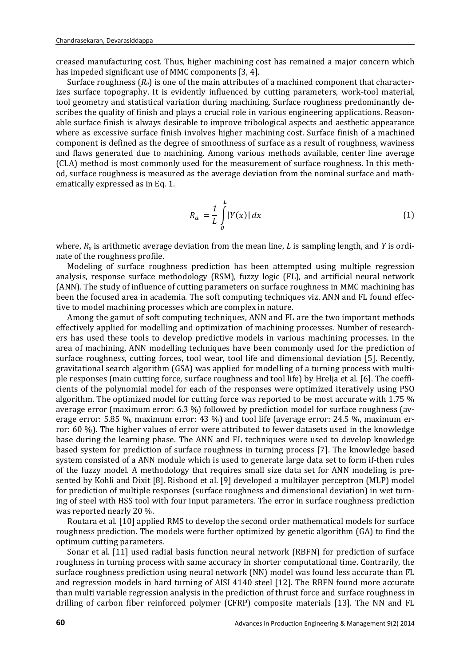creased manufacturing cost. Thus, higher machining cost has remained a major concern which has impeded significant use of MMC components  $[3, 4]$ .

Surface roughness  $(R_a)$  is one of the main attributes of a machined component that characterizes surface topography. It is evidently influenced by cutting parameters, work-tool material, tool geometry and statistical variation during machining. Surface roughness predominantly describes the quality of finish and plays a crucial role in various engineering applications. Reasonable surface finish is always desirable to improve tribological aspects and aesthetic appearance where as excessive surface finish involves higher machining cost. Surface finish of a machined component is defined as the degree of smoothness of surface as a result of roughness, waviness and flaws generated due to machining. Among various methods available, center line average (CLA) method is most commonly used for the measurement of surface roughness. In this method, surface roughness is measured as the average deviation from the nominal surface and mathematically expressed as in Eq. 1.

$$
R_a = \frac{1}{L} \int_0^L |Y(x)| dx \tag{1}
$$

where,  $R_a$  is arithmetic average deviation from the mean line, *L* is sampling length, and *Y* is ordinate of the roughness profile.

Modeling of surface roughness prediction has been attempted using multiple regression analysis, response surface methodology (RSM), fuzzy logic (FL), and artificial neural network (ANN). The study of influence of cutting parameters on surface roughness in MMC machining has been the focused area in academia. The soft computing techniques viz. ANN and FL found effective to model machining processes which are complex in nature.

Among the gamut of soft computing techniques, ANN and FL are the two important methods effectively applied for modelling and optimization of machining processes. Number of researchers has used these tools to develop predictive models in various machining processes. In the area of machining, ANN modelling techniques have been commonly used for the prediction of surface roughness, cutting forces, tool wear, tool life and dimensional deviation [5]. Recently, gravitational search algorithm (GSA) was applied for modelling of a turning process with multiple responses (main cutting force, surface roughness and tool life) by Hrelja et al. [6]. The coefficients of the polynomial model for each of the responses were optimized iteratively using PSO algorithm. The optimized model for cutting force was reported to be most accurate with  $1.75\%$ average error (maximum error: 6.3 %) followed by prediction model for surface roughness (average error:  $5.85\%$ , maximum error:  $43\%$ ) and tool life (average error:  $24.5\%$ , maximum error:  $60\%$ ). The higher values of error were attributed to fewer datasets used in the knowledge base during the learning phase. The ANN and FL techniques were used to develop knowledge based system for prediction of surface roughness in turning process [7]. The knowledge based system consisted of a ANN module which is used to generate large data set to form if-then rules of the fuzzy model. A methodology that requires small size data set for ANN modeling is presented by Kohli and Dixit [8]. Risbood et al. [9] developed a multilayer perceptron (MLP) model for prediction of multiple responses (surface roughness and dimensional deviation) in wet turning of steel with HSS tool with four input parameters. The error in surface roughness prediction was reported nearly 20 %.

Routara et al. [10] applied RMS to develop the second order mathematical models for surface roughness prediction. The models were further optimized by genetic algorithm (GA) to find the optimum cutting parameters.

Sonar et al. [11] used radial basis function neural network (RBFN) for prediction of surface roughness in turning process with same accuracy in shorter computational time. Contrarily, the surface roughness prediction using neural network (NN) model was found less accurate than FL and regression models in hard turning of AISI 4140 steel [12]. The RBFN found more accurate than multi variable regression analysis in the prediction of thrust force and surface roughness in drilling of carbon fiber reinforced polymer (CFRP) composite materials [13]. The NN and FL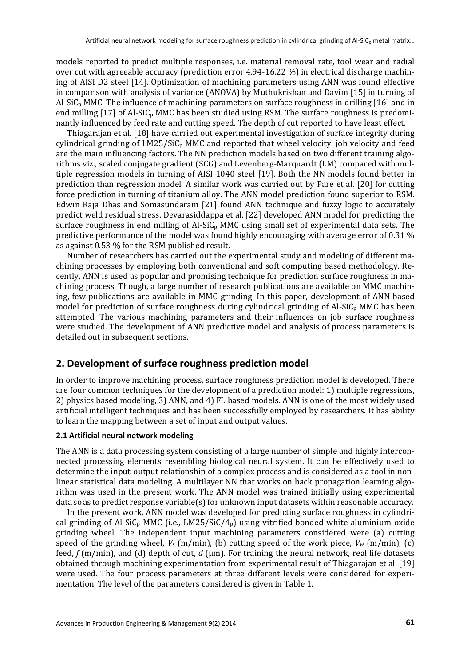models reported to predict multiple responses, i.e. material removal rate, tool wear and radial over cut with agreeable accuracy (prediction error  $4.94$ -16.22 %) in electrical discharge machining of AISI D2 steel [14]. Optimization of machining parameters using ANN was found effective in comparison with analysis of variance  $(ANOVA)$  by Muthukrishan and Davim  $[15]$  in turning of Al-SiC<sub>p</sub> MMC. The influence of machining parameters on surface roughness in drilling [16] and in end milling  $[17]$  of Al-SiC<sub>p</sub> MMC has been studied using RSM. The surface roughness is predominantly influenced by feed rate and cutting speed. The depth of cut reported to have least effect.

Thiagarajan et al. [18] have carried out experimental investigation of surface integrity during cylindrical grinding of  $LM25/SiC_p$  MMC and reported that wheel velocity, job velocity and feed are the main influencing factors. The NN prediction models based on two different training algorithms viz., scaled conjugate gradient  $(SCG)$  and Levenberg-Marquardt (LM) compared with multiple regression models in turning of AISI 1040 steel [19]. Both the NN models found better in prediction than regression model. A similar work was carried out by Pare et al. [20] for cutting force prediction in turning of titanium alloy. The ANN model prediction found superior to RSM. Edwin Raja Dhas and Somasundaram [21] found ANN technique and fuzzy logic to accurately predict weld residual stress. Devarasiddappa et al. [22] developed ANN model for predicting the surface roughness in end milling of Al-SiC<sub>p</sub> MMC using small set of experimental data sets. The predictive performance of the model was found highly encouraging with average error of 0.31  $\%$ as against  $0.53\%$  for the RSM published result.

Number of researchers has carried out the experimental study and modeling of different machining processes by employing both conventional and soft computing based methodology. Recently, ANN is used as popular and promising technique for prediction surface roughness in machining process. Though, a large number of research publications are available on MMC machining, few publications are available in MMC grinding. In this paper, development of ANN based model for prediction of surface roughness during cylindrical grinding of Al-SiC<sub>p</sub> MMC has been attempted. The various machining parameters and their influences on job surface roughness were studied. The development of ANN predictive model and analysis of process parameters is detailed out in subsequent sections.

## **2. Development of surface roughness prediction model**

In order to improve machining process, surface roughness prediction model is developed. There are four common techniques for the development of a prediction model: 1) multiple regressions, 2) physics based modeling, 3) ANN, and 4) FL based models. ANN is one of the most widely used artificial intelligent techniques and has been successfully employed by researchers. It has ability to learn the mapping between a set of input and output values.

### **2.1 Artificial neural network modeling**

The ANN is a data processing system consisting of a large number of simple and highly interconnected processing elements resembling biological neural system. It can be effectively used to determine the input-output relationship of a complex process and is considered as a tool in nonlinear statistical data modeling. A multilayer NN that works on back propagation learning algorithm was used in the present work. The ANN model was trained initially using experimental data so as to predict response variable(s) for unknown input datasets within reasonable accuracy.

In the present work, ANN model was developed for predicting surface roughness in cylindrical grinding of Al-SiC<sub>p</sub> MMC (i.e., LM25/SiC/4<sub>p</sub>) using vitrified-bonded white aluminium oxide grinding wheel. The independent input machining parameters considered were (a) cutting speed of the grinding wheel,  $V_s$  (m/min), (b) cutting speed of the work piece,  $V_w$  (m/min), (c) feed,  $f$  (m/min), and (d) depth of cut,  $d$  ( $\mu$ m). For training the neural network, real life datasets obtained through machining experimentation from experimental result of Thiagarajan et al. [19] were used. The four process parameters at three different levels were considered for experimentation. The level of the parameters considered is given in Table 1.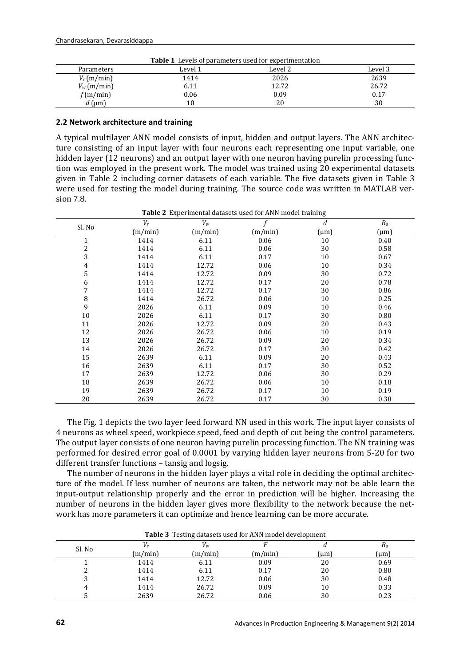| <b>Table 1</b> Levels of parameters used for experimentation |         |         |         |  |  |  |
|--------------------------------------------------------------|---------|---------|---------|--|--|--|
| Parameters                                                   | Level 1 | Level 2 | Level 3 |  |  |  |
| $V_s$ (m/min)                                                | 1414    | 2026    | 2639    |  |  |  |
| $V_w$ (m/min)                                                | 6.11    | 12.72   | 26.72   |  |  |  |
| f(m/min)                                                     | 0.06    | 0.09    | 0.17    |  |  |  |
| $d$ (µm)                                                     | 10      | 20      | 30      |  |  |  |

#### **2.2 Network architecture and training**

A typical multilayer ANN model consists of input, hidden and output layers. The ANN architecture consisting of an input layer with four neurons each representing one input variable, one hidden layer (12 neurons) and an output layer with one neuron having purelin processing function was employed in the present work. The model was trained using 20 experimental datasets given in Table 2 including corner datasets of each variable. The five datasets given in Table 3 were used for testing the model during training. The source code was written in MATLAB version 7.8.

| Sl. No         | $V_s$   | $V_w$   |         | d             | $\mathcal{R}_a$ |
|----------------|---------|---------|---------|---------------|-----------------|
|                | (m/min) | (m/min) | (m/min) | $\text{(µm)}$ | $(\mu m)$       |
| $\mathbf{1}$   | 1414    | 6.11    | 0.06    | 10            | 0.40            |
| $\overline{c}$ | 1414    | 6.11    | 0.06    | 30            | 0.58            |
| 3              | 1414    | 6.11    | 0.17    | 10            | 0.67            |
| $\overline{4}$ | 1414    | 12.72   | 0.06    | 10            | 0.34            |
| 5              | 1414    | 12.72   | 0.09    | 30            | 0.72            |
| 6              | 1414    | 12.72   | 0.17    | 20            | 0.78            |
| 7              | 1414    | 12.72   | 0.17    | 30            | 0.86            |
| 8              | 1414    | 26.72   | 0.06    | 10            | 0.25            |
| 9              | 2026    | 6.11    | 0.09    | 10            | 0.46            |
| 10             | 2026    | 6.11    | 0.17    | 30            | 0.80            |
| 11             | 2026    | 12.72   | 0.09    | 20            | 0.43            |
| 12             | 2026    | 26.72   | 0.06    | 10            | 0.19            |
| 13             | 2026    | 26.72   | 0.09    | 20            | 0.34            |
| 14             | 2026    | 26.72   | 0.17    | 30            | 0.42            |
| 15             | 2639    | 6.11    | 0.09    | 20            | 0.43            |
| 16             | 2639    | 6.11    | 0.17    | 30            | 0.52            |
| 17             | 2639    | 12.72   | 0.06    | 30            | 0.29            |
| 18             | 2639    | 26.72   | 0.06    | 10            | 0.18            |
| 19             | 2639    | 26.72   | 0.17    | 10            | 0.19            |
| 20             | 2639    | 26.72   | 0.17    | 30            | 0.38            |

**Table 2** Experimental datasets used for ANN model training

The Fig. 1 depicts the two layer feed forward NN used in this work. The input layer consists of 4 neurons as wheel speed, workpiece speed, feed and depth of cut being the control parameters. The output layer consists of one neuron having purelin processing function. The NN training was performed for desired error goal of 0.0001 by varying hidden layer neurons from 5-20 for two different transfer functions – tansig and logsig.

The number of neurons in the hidden layer plays a vital role in deciding the optimal architecture of the model. If less number of neurons are taken, the network may not be able learn the input-output relationship properly and the error in prediction will be higher. Increasing the number of neurons in the hidden layer gives more flexibility to the network because the network has more parameters it can optimize and hence learning can be more accurate.

| <b>Table 3</b> Lesting datasets used for ANN model development |         |         |         |          |              |
|----------------------------------------------------------------|---------|---------|---------|----------|--------------|
| Sl. No                                                         |         | $V_w$   |         |          | Ra           |
|                                                                | (m/min) | (m/min) | (m/min) | $\mu$ m) | ${\rm (µm)}$ |
|                                                                | 1414    | 6.11    | 0.09    | 20       | 0.69         |
| ∼                                                              | 1414    | 6.11    | 0.17    | 20       | 0.80         |
|                                                                | 1414    | 12.72   | 0.06    | 30       | 0.48         |
| 4                                                              | 1414    | 26.72   | 0.09    | 10       | 0.33         |
|                                                                | 2639    | 26.72   | 0.06    | 30       | 0.23         |

Table 3 Testing datasets used for ANN model development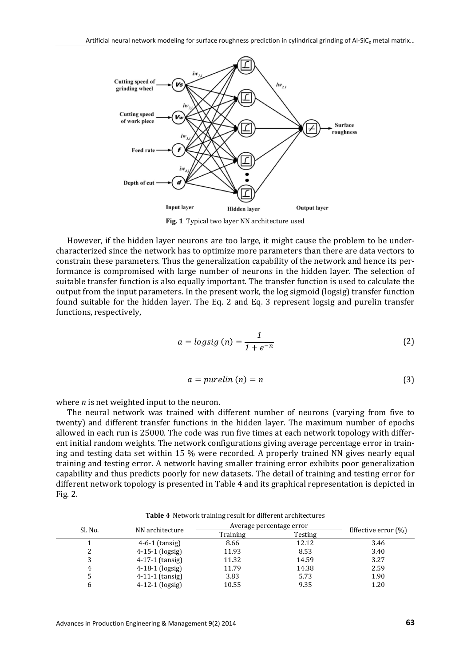

Fig. 1 Typical two layer NN architecture used

However, if the hidden layer neurons are too large, it might cause the problem to be undercharacterized since the network has to optimize more parameters than there are data vectors to constrain these parameters. Thus the generalization capability of the network and hence its performance is compromised with large number of neurons in the hidden layer. The selection of suitable transfer function is also equally important. The transfer function is used to calculate the output from the input parameters. In the present work, the log sigmoid (logsig) transfer function found suitable for the hidden layer. The Eq. 2 and Eq. 3 represent logsig and purelin transfer functions, respectively,

$$
a = logistic(s) = \frac{1}{1 + e^{-n}}\tag{2}
$$

$$
a = purelin(n) = n \tag{3}
$$

where  $n$  is net weighted input to the neuron.

The neural network was trained with different number of neurons (varying from five to twenty) and different transfer functions in the hidden layer. The maximum number of epochs allowed in each run is 25000. The code was run five times at each network topology with different initial random weights. The network configurations giving average percentage error in training and testing data set within 15  $%$  were recorded. A properly trained NN gives nearly equal training and testing error. A network having smaller training error exhibits poor generalization capability and thus predicts poorly for new datasets. The detail of training and testing error for different network topology is presented in Table 4 and its graphical representation is depicted in Fig. 2. 

| <b>Rapic +</b> Network training result for unferent architectures |                   |                          |         |                        |  |
|-------------------------------------------------------------------|-------------------|--------------------------|---------|------------------------|--|
| Sl. No.                                                           | NN architecture   | Average percentage error |         |                        |  |
|                                                                   |                   | Training                 | Testing | Effective error $(\%)$ |  |
|                                                                   | $4-6-1$ (tansig)  | 8.66                     | 12.12   | 3.46                   |  |
|                                                                   | $4-15-1$ (logsig) | 11.93                    | 8.53    | 3.40                   |  |
|                                                                   | $4-17-1$ (tansig) | 11.32                    | 14.59   | 3.27                   |  |
| 4                                                                 | $4-18-1$ (logsig) | 11.79                    | 14.38   | 2.59                   |  |
|                                                                   | $4-11-1$ (tansig) | 3.83                     | 5.73    | 1.90                   |  |
|                                                                   | $4-12-1$ (logsig) | 10.55                    | 9.35    | 1.20                   |  |

**Table 4** Network training result for different architectures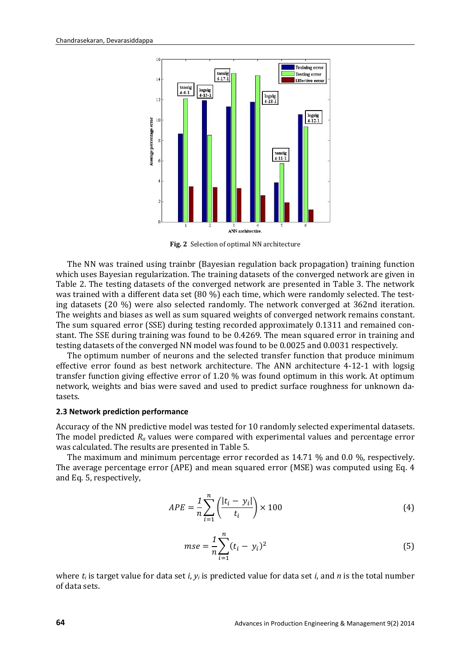

**Fig. 2** Selection of optimal NN architecture

The NN was trained using trainbr (Bayesian regulation back propagation) training function which uses Bayesian regularization. The training datasets of the converged network are given in Table 2. The testing datasets of the converged network are presented in Table 3. The network was trained with a different data set  $(80\%)$  each time, which were randomly selected. The testing datasets  $(20\%)$  were also selected randomly. The network converged at 362nd iteration. The weights and biases as well as sum squared weights of converged network remains constant. The sum squared error (SSE) during testing recorded approximately 0.1311 and remained constant. The SSE during training was found to be 0.4269. The mean squared error in training and testing datasets of the converged NN model was found to be 0.0025 and 0.0031 respectively.

The optimum number of neurons and the selected transfer function that produce minimum effective error found as best network architecture. The ANN architecture  $4-12-1$  with logsig transfer function giving effective error of  $1.20\%$  was found optimum in this work. At optimum network, weights and bias were saved and used to predict surface roughness for unknown datasets. 

#### **2.3 Network prediction performance**

Accuracy of the NN predictive model was tested for 10 randomly selected experimental datasets. The model predicted  $R_a$  values were compared with experimental values and percentage error was calculated. The results are presented in Table 5.

The maximum and minimum percentage error recorded as  $14.71\%$  and 0.0 %, respectively. The average percentage error (APE) and mean squared error (MSE) was computed using Eq. 4 and Eq. 5, respectively,

$$
APE = \frac{1}{n} \sum_{i=1}^{n} \left( \frac{|t_i - y_i|}{t_i} \right) \times 100
$$
\n(4)

$$
mse = \frac{1}{n} \sum_{i=1}^{n} (t_i - y_i)^2
$$
\n(5)

where  $t_i$  is target value for data set *i*,  $y_i$  is predicted value for data set *i*, and *n* is the total number of data sets.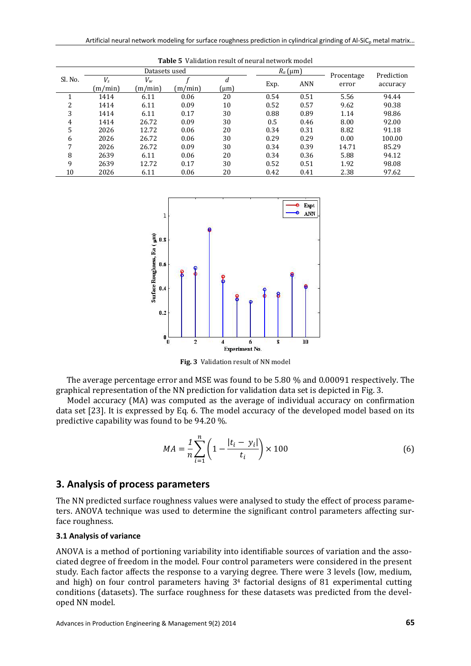| таріс э<br>vanuation result of heural network model |                  |               |         |               |           |            |                     |            |
|-----------------------------------------------------|------------------|---------------|---------|---------------|-----------|------------|---------------------|------------|
|                                                     |                  | Datasets used |         |               | $Ra$ (µm) |            |                     | Prediction |
| Sl. No.                                             | $V_s$<br>(m/min) | Vw<br>(m/min) | (m/min) | d<br>$\mu$ m) | Exp.      | <b>ANN</b> | Procentage<br>error | accuracy   |
|                                                     | 1414             | 6.11          | 0.06    | 20            | 0.54      | 0.51       | 5.56                | 94.44      |
| າ                                                   | 1414             | 6.11          | 0.09    | 10            | 0.52      | 0.57       | 9.62                | 90.38      |
| 3                                                   | 1414             | 6.11          | 0.17    | 30            | 0.88      | 0.89       | 1.14                | 98.86      |
| 4                                                   | 1414             | 26.72         | 0.09    | 30            | 0.5       | 0.46       | 8.00                | 92.00      |
| 5                                                   | 2026             | 12.72         | 0.06    | 20            | 0.34      | 0.31       | 8.82                | 91.18      |
| 6                                                   | 2026             | 26.72         | 0.06    | 30            | 0.29      | 0.29       | 0.00                | 100.00     |
| 7                                                   | 2026             | 26.72         | 0.09    | 30            | 0.34      | 0.39       | 14.71               | 85.29      |
| 8                                                   | 2639             | 6.11          | 0.06    | 20            | 0.34      | 0.36       | 5.88                | 94.12      |
| 9                                                   | 2639             | 12.72         | 0.17    | 30            | 0.52      | 0.51       | 1.92                | 98.08      |
| 10                                                  | 2026             | 6.11          | 0.06    | 20            | 0.42      | 0.41       | 2.38                | 97.62      |





Fig. 3 Validation result of NN model

The average percentage error and MSE was found to be  $5.80\%$  and  $0.00091$  respectively. The graphical representation of the NN prediction for validation data set is depicted in Fig. 3.

Model accuracy (MA) was computed as the average of individual accuracy on confirmation data set [23]. It is expressed by Eq. 6. The model accuracy of the developed model based on its predictive capability was found to be  $94.20\%$ .

$$
MA = \frac{1}{n} \sum_{i=1}^{n} \left( 1 - \frac{|t_i - y_i|}{t_i} \right) \times 100
$$
 (6)

## **3. Analysis of process parameters**

The NN predicted surface roughness values were analysed to study the effect of process parameters. ANOVA technique was used to determine the significant control parameters affecting surface roughness.

#### **3.1 Analysis of variance**

ANOVA is a method of portioning variability into identifiable sources of variation and the associated degree of freedom in the model. Four control parameters were considered in the present study. Each factor affects the response to a varying degree. There were 3 levels (low, medium, and high) on four control parameters having  $3<sup>4</sup>$  factorial designs of 81 experimental cutting conditions (datasets). The surface roughness for these datasets was predicted from the developed NN model.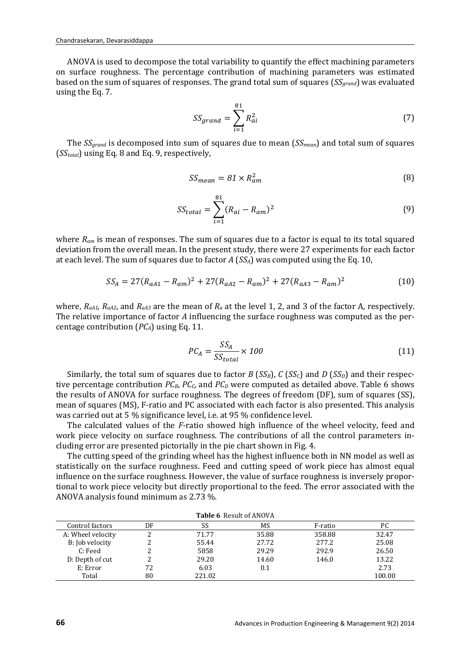ANOVA is used to decompose the total variability to quantify the effect machining parameters on surface roughness. The percentage contribution of machining parameters was estimated based on the sum of squares of responses. The grand total sum of squares (*SS<sub>grand</sub>*) was evaluated using the Eq. 7.

$$
SS_{grand} = \sum_{i=1}^{81} R_{ai}^2
$$
 (7)

The  $SS_{grand}$  is decomposed into sum of squares due to mean  $(SS_{mean})$  and total sum of squares  $(SS<sub>total</sub>)$  using Eq. 8 and Eq. 9, respectively,

$$
SS_{mean} = 81 \times R_{am}^2 \tag{8}
$$

$$
SS_{total} = \sum_{i=1}^{81} (R_{ai} - R_{am})^2
$$
 (9)

where  $R_{am}$  is mean of responses. The sum of squares due to a factor is equal to its total squared deviation from the overall mean. In the present study, there were 27 experiments for each factor at each level. The sum of squares due to factor  $A$  ( $SS_A$ ) was computed using the Eq. 10,

$$
SS_A = 27(R_{aA1} - R_{am})^2 + 27(R_{aA2} - R_{am})^2 + 27(R_{aA3} - R_{am})^2
$$
 (10)

where,  $R_{aA1}$ ,  $R_{aA2}$ , and  $R_{aA3}$  are the mean of  $R_a$  at the level 1, 2, and 3 of the factor A, respectively. The relative importance of factor A influencing the surface roughness was computed as the percentage contribution  $(PC_A)$  using Eq. 11.

$$
PC_A = \frac{SS_A}{SS_{total}} \times 100\tag{11}
$$

Similarly, the total sum of squares due to factor *B* (*SS<sub>B</sub>*), *C* (*SS<sub>C</sub>*) and *D* (*SS<sub>D</sub>*) and their respective percentage contribution  $PC_B$ ,  $PC_C$ , and  $PC_D$  were computed as detailed above. Table 6 shows the results of ANOVA for surface roughness. The degrees of freedom (DF), sum of squares (SS), mean of squares (MS), F-ratio and PC associated with each factor is also presented. This analysis was carried out at 5 % significance level, i.e. at 95 % confidence level.

The calculated values of the *F*-ratio showed high influence of the wheel velocity, feed and work piece velocity on surface roughness. The contributions of all the control parameters including error are presented pictorially in the pie chart shown in Fig. 4.

The cutting speed of the grinding wheel has the highest influence both in NN model as well as statistically on the surface roughness. Feed and cutting speed of work piece has almost equal influence on the surface roughness. However, the value of surface roughness is inversely proportional to work piece velocity but directly proportional to the feed. The error associated with the ANOVA analysis found minimum as 2.73 %.

| <b>Table 6</b> Result of ANOVA |    |        |       |         |        |  |
|--------------------------------|----|--------|-------|---------|--------|--|
| Control factors                | DF | SS     | MS    | F-ratio | РC     |  |
| A: Wheel velocity              |    | 71.77  | 35.88 | 358.88  | 32.47  |  |
| B: Job velocity                |    | 55.44  | 27.72 | 277.2   | 25.08  |  |
| C: Feed                        |    | 5858   | 29.29 | 292.9   | 26.50  |  |
| D: Depth of cut                |    | 29.20  | 14.60 | 146.0   | 13.22  |  |
| E: Error                       | 72 | 6.03   | 0.1   |         | 2.73   |  |
| Total                          | 80 | 221.02 |       |         | 100.00 |  |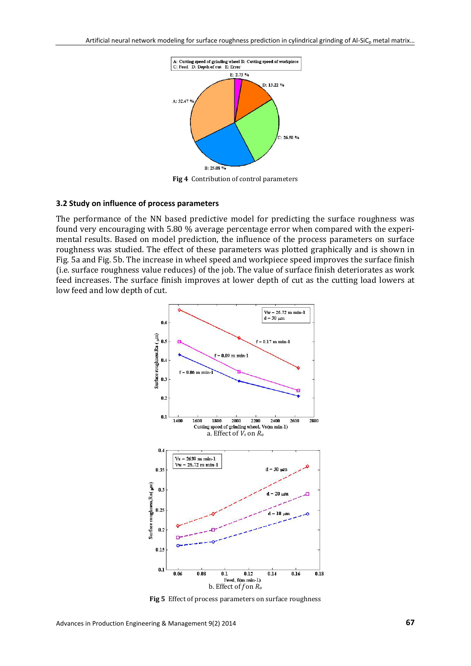

**Fig 4** Contribution of control parameters

#### **3.2 Study on influence of process parameters**

The performance of the NN based predictive model for predicting the surface roughness was found very encouraging with 5.80 % average percentage error when compared with the experimental results. Based on model prediction, the influence of the process parameters on surface roughness was studied. The effect of these parameters was plotted graphically and is shown in Fig. 5a and Fig. 5b. The increase in wheel speed and workpiece speed improves the surface finish (i.e. surface roughness value reduces) of the job. The value of surface finish deteriorates as work feed increases. The surface finish improves at lower depth of cut as the cutting load lowers at low feed and low depth of cut.

![](_page_8_Figure_5.jpeg)

**Fig 5** Effect of process parameters on surface roughness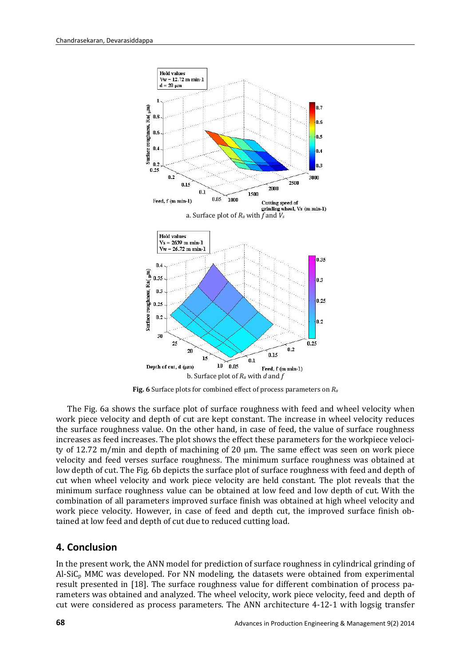![](_page_9_Figure_1.jpeg)

**Fig.** 6 Surface plots for combined effect of process parameters on  $R_a$ 

The Fig. 6a shows the surface plot of surface roughness with feed and wheel velocity when work piece velocity and depth of cut are kept constant. The increase in wheel velocity reduces the surface roughness value. On the other hand, in case of feed, the value of surface roughness increases as feed increases. The plot shows the effect these parameters for the workpiece velocity of 12.72 m/min and depth of machining of 20 μm. The same effect was seen on work piece velocity and feed verses surface roughness. The minimum surface roughness was obtained at low depth of cut. The Fig. 6b depicts the surface plot of surface roughness with feed and depth of cut when wheel velocity and work piece velocity are held constant. The plot reveals that the minimum surface roughness value can be obtained at low feed and low depth of cut. With the combination of all parameters improved surface finish was obtained at high wheel velocity and work piece velocity. However, in case of feed and depth cut, the improved surface finish obtained at low feed and depth of cut due to reduced cutting load.

## **4. Conclusion**

In the present work, the ANN model for prediction of surface roughness in cylindrical grinding of Al-SiC<sub>p</sub> MMC was developed. For NN modeling, the datasets were obtained from experimental result presented in [18]. The surface roughness value for different combination of process parameters was obtained and analyzed. The wheel velocity, work piece velocity, feed and depth of cut were considered as process parameters. The ANN architecture  $4-12-1$  with logsig transfer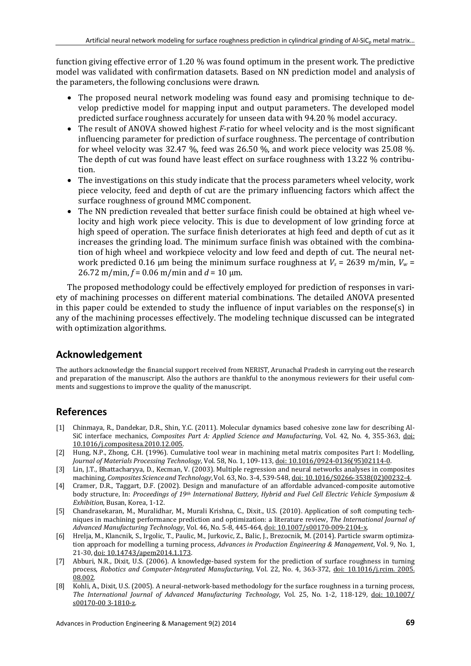function giving effective error of 1.20 % was found optimum in the present work. The predictive model was validated with confirmation datasets. Based on NN prediction model and analysis of the parameters, the following conclusions were drawn.

- The proposed neural network modeling was found easy and promising technique to develop predictive model for mapping input and output parameters. The developed model predicted surface roughness accurately for unseen data with 94.20 % model accuracy.
- The result of ANOVA showed highest *F*-ratio for wheel velocity and is the most significant influencing parameter for prediction of surface roughness. The percentage of contribution for wheel velocity was 32.47 %, feed was 26.50 %, and work piece velocity was 25.08 %. The depth of cut was found have least effect on surface roughness with 13.22 % contribution.
- The investigations on this study indicate that the process parameters wheel velocity, work piece velocity, feed and depth of cut are the primary influencing factors which affect the surface roughness of ground MMC component.
- The NN prediction revealed that better surface finish could be obtained at high wheel velocity and high work piece velocity. This is due to development of low grinding force at high speed of operation. The surface finish deteriorates at high feed and depth of cut as it increases the grinding load. The minimum surface finish was obtained with the combination of high wheel and workpiece velocity and low feed and depth of cut. The neural network predicted 0.16 µm being the minimum surface roughness at  $V_s = 2639$  m/min,  $V_w =$ 26.72 m/min,  $f = 0.06$  m/min and  $d = 10$   $\mu$ m.

The proposed methodology could be effectively employed for prediction of responses in variety of machining processes on different material combinations. The detailed ANOVA presented in this paper could be extended to study the influence of input variables on the response(s) in any of the machining processes effectively. The modeling technique discussed can be integrated with optimization algorithms.

## **Acknowledgement**

The authors acknowledge the financial support received from NERIST, Arunachal Pradesh in carrying out the research and preparation of the manuscript. Also the authors are thankful to the anonymous reviewers for their useful comments and suggestions to improve the quality of the manuscript.

## **References**

- [1] Chinmaya, R., Dandekar, D.R., Shin, Y.C. (2011). Molecular dynamics based cohesive zone law for describing Al-SiC interface mechanics, *Composites Part A: Applied Science and Manufacturing*, Vol. 42, No. 4, 355-363, [doi:](http://dx.doi.org/10.1016/j.compositesa.2010.12.005)  [10.1016/j.compositesa.2010.12.005.](http://dx.doi.org/10.1016/j.compositesa.2010.12.005)
- [2] Hung, N.P., Zhong, C.H. (1996). Cumulative tool wear in machining metal matrix composites Part I: Modelling, *Journal of Materials Processing Technology*, Vol. 58, No. 1, 109-113[, doi: 10.1016/0924-0136\(95\)02114-0.](http://dx.doi.org/10.1016/0924-0136(95)02114-0)
- [3] Lin, J.T., Bhattacharyya, D., Kecman, V. (2003). Multiple regression and neural networks analyses in composites machining, *Composites Science and Technology*,Vol. 63, No. 3-4, 539-548, [doi: 10.1016/S0266-3538\(02\)00232-4.](http://dx.doi.org/10.1016/S0266-3538(02)00232-4)
- [4] Cramer, D.R., Taggart, D.F. (2002). Design and manufacture of an affordable advanced-composite automotive body structure, In: *Proceedings of 19th International Battery, Hybrid and Fuel Cell Electric Vehicle Symposium & Exhibition*, Busan, Korea, 1-12.
- [5] Chandrasekaran, M., Muralidhar, M., Murali Krishna, C., Dixit., U.S. (2010). Application of soft computing techniques in machining performance prediction and optimization: a literature review, *The International Journal of Advanced Manufacturing Technology*, Vol. 46, No. 5-8, 445-464[, doi: 10.1007/s00170-009-2104-x.](http://dx.doi.org/10.1007/s00170-009-2104-x)
- [6] Hrelja, M., Klancnik, S., Irgolic, T., Paulic, M., Jurkovic, Z., Balic, J., Brezocnik, M. (2014). Particle swarm optimization approach for modelling a turning process, *Advances in Production Engineering & Management*, Vol. 9, No. 1, 21-30, [doi: 10.14743/apem2014.1.173.](http://dx.doi.org/10.14743/apem2014.1.173)
- [7] Abburi, N.R., Dixit, U.S. (2006). A knowledge-based system for the prediction of surface roughness in turning process, *Robotics and Computer-Integrated Manufacturing*, Vol. 22, No. 4, 363-372, [doi: 10.1016/j.rcim. 2005.](http://dx.doi.org/10.1016/j.rcim.2005.08.002) [08.002.](http://dx.doi.org/10.1016/j.rcim.2005.08.002)
- [8] Kohli, A., Dixit, U.S. (2005). A neural-network-based methodology for the surface roughness in a turning process, *The International Journal of Advanced Manufacturing Technology*, Vol. 25, No. 1-2, 118-129, [doi: 10.1007/](http://dx.doi.org/10.1007/s00170-003-1810-z) [s00170-00](http://dx.doi.org/10.1007/s00170-003-1810-z) 3-1810-z.